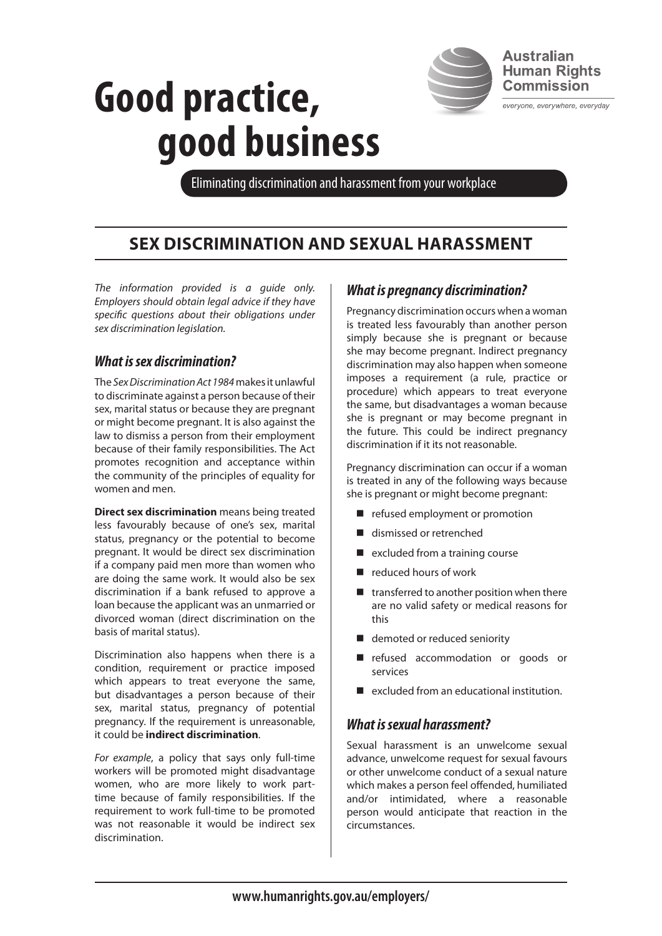

**Human Rights Commission** 

everyone, everywhere, everyday

# **Good practice, good business**

Eliminating discrimination and harassment from your workplace

# **sex discrimination and sexual harassment**

*The information provided is a guide only. Employers should obtain legal advice if they have specific questions about their obligations under sex discrimination legislation.*

# *What is sex discrimination?*

The *Sex Discrimination Act 1984* makes it unlawful to discriminate against a person because of their sex, marital status or because they are pregnant or might become pregnant. It is also against the law to dismiss a person from their employment because of their family responsibilities. The Act promotes recognition and acceptance within the community of the principles of equality for women and men.

**Direct sex discrimination** means being treated less favourably because of one's sex, marital status, pregnancy or the potential to become pregnant. It would be direct sex discrimination if a company paid men more than women who are doing the same work. It would also be sex discrimination if a bank refused to approve a loan because the applicant was an unmarried or divorced woman (direct discrimination on the basis of marital status).

Discrimination also happens when there is a condition, requirement or practice imposed which appears to treat everyone the same, but disadvantages a person because of their sex, marital status, pregnancy of potential pregnancy. If the requirement is unreasonable, it could be **indirect discrimination**.

*For example*, a policy that says only full-time workers will be promoted might disadvantage women, who are more likely to work parttime because of family responsibilities. If the requirement to work full-time to be promoted was not reasonable it would be indirect sex discrimination.

# *What is pregnancy discrimination?*

Pregnancy discrimination occurs when a woman is treated less favourably than another person simply because she is pregnant or because she may become pregnant. Indirect pregnancy discrimination may also happen when someone imposes a requirement (a rule, practice or procedure) which appears to treat everyone the same, but disadvantages a woman because she is pregnant or may become pregnant in the future. This could be indirect pregnancy discrimination if it its not reasonable.

Pregnancy discrimination can occur if a woman is treated in any of the following ways because she is pregnant or might become pregnant:

- $\blacksquare$  refused employment or promotion
- dismissed or retrenched
- $\blacksquare$  excluded from a training course
- $\blacksquare$  reduced hours of work
- $\blacksquare$  transferred to another position when there are no valid safety or medical reasons for this
- $\blacksquare$  demoted or reduced seniority
- n refused accommodation or goods or services
- $\blacksquare$  excluded from an educational institution.

#### *What is sexual harassment?*

Sexual harassment is an unwelcome sexual advance, unwelcome request for sexual favours or other unwelcome conduct of a sexual nature which makes a person feel offended, humiliated and/or intimidated, where a reasonable person would anticipate that reaction in the circumstances.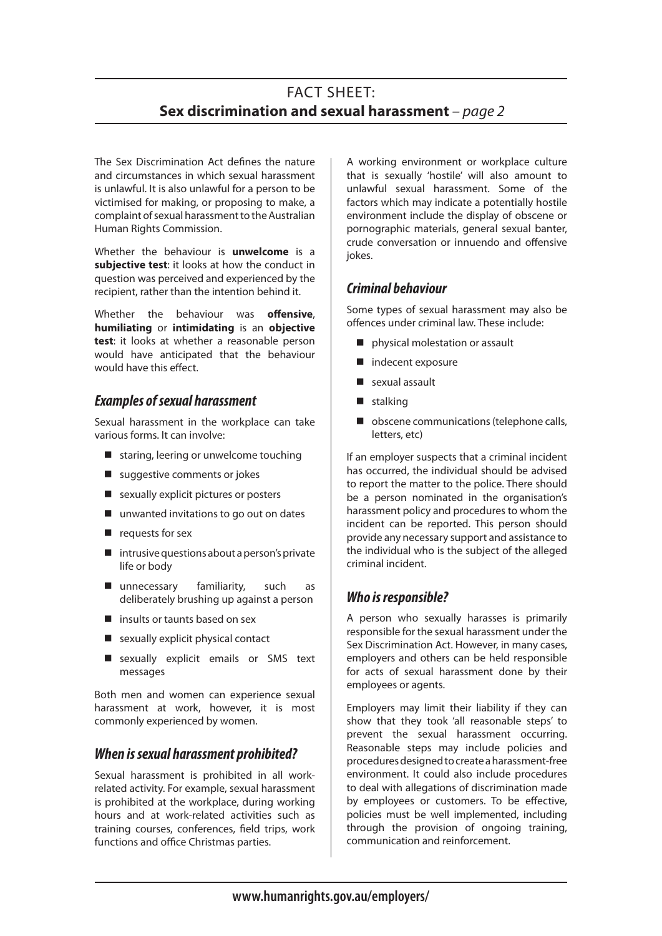# FACT SHEET: **Sex discrimination and sexual harassment** *– page 2*

The Sex Discrimination Act defines the nature and circumstances in which sexual harassment is unlawful. It is also unlawful for a person to be victimised for making, or proposing to make, a complaint of sexual harassment to the Australian Human Rights Commission.

Whether the behaviour is **unwelcome** is a **subjective test**: it looks at how the conduct in question was perceived and experienced by the recipient, rather than the intention behind it.

Whether the behaviour was **offensive**, **humiliating** or **intimidating** is an **objective test**: it looks at whether a reasonable person would have anticipated that the behaviour would have this effect

#### *Examples of sexual harassment*

Sexual harassment in the workplace can take various forms. It can involve:

- $\blacksquare$  staring, leering or unwelcome touching
- $\blacksquare$  suggestive comments or jokes
- $\blacksquare$  sexually explicit pictures or posters
- $\blacksquare$  unwanted invitations to go out on dates
- $\blacksquare$  requests for sex
- $\blacksquare$  intrusive questions about a person's private life or body
- $\blacksquare$  unnecessary familiarity, such as deliberately brushing up against a person
- $\blacksquare$  insults or taunts based on sex
- $\blacksquare$  sexually explicit physical contact
- sexually explicit emails or SMS text messages

Both men and women can experience sexual harassment at work, however, it is most commonly experienced by women.

#### *When is sexual harassment prohibited?*

Sexual harassment is prohibited in all workrelated activity. For example, sexual harassment is prohibited at the workplace, during working hours and at work-related activities such as training courses, conferences, field trips, work functions and office Christmas parties.

A working environment or workplace culture that is sexually 'hostile' will also amount to unlawful sexual harassment. Some of the factors which may indicate a potentially hostile environment include the display of obscene or pornographic materials, general sexual banter, crude conversation or innuendo and offensive jokes.

#### *Criminal behaviour*

Some types of sexual harassment may also be offences under criminal law. These include:

- **n** physical molestation or assault
- $\blacksquare$  indecent exposure
- $\blacksquare$  sexual assault
- $\blacksquare$  stalking
- $\blacksquare$  obscene communications (telephone calls, letters, etc)

If an employer suspects that a criminal incident has occurred, the individual should be advised to report the matter to the police. There should be a person nominated in the organisation's harassment policy and procedures to whom the incident can be reported. This person should provide any necessary support and assistance to the individual who is the subject of the alleged criminal incident.

# *Who is responsible?*

A person who sexually harasses is primarily responsible for the sexual harassment under the Sex Discrimination Act. However, in many cases, employers and others can be held responsible for acts of sexual harassment done by their employees or agents.

Employers may limit their liability if they can show that they took 'all reasonable steps' to prevent the sexual harassment occurring. Reasonable steps may include policies and procedures designed to create a harassment-free environment. It could also include procedures to deal with allegations of discrimination made by employees or customers. To be effective, policies must be well implemented, including through the provision of ongoing training, communication and reinforcement.